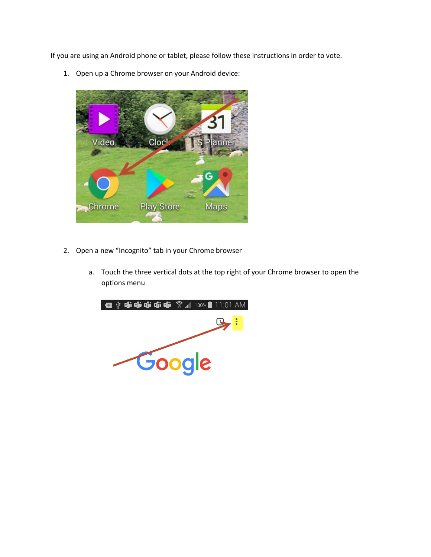If you are using an Android phone or tablet, please follow these instructions in order to vote.

1. Open up a Chrome browser on your Android device:



- 2. Open a new "Incognito" tab in your Chrome browser Open a new "Incognito" tab in your Chrome browser
	- a. Touch the three vertical dots at the top right of your Chrome browser to open the options menu

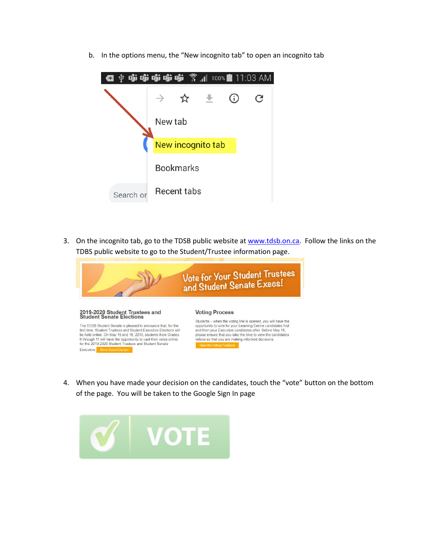b. In the options menu, the "New incognito tab" to open an incognito tab



3. On the incognito tab, go to the TDSB public website at [www.tdsb.on.ca.](http://www.tdsb.on.ca/) Follow the links on the TDBS public website to go to the Student/Trustee information page.



4. When you have made your decision on the candidates, touch the "vote" button on the bottom of the page. You will be taken to the Google Sign In page

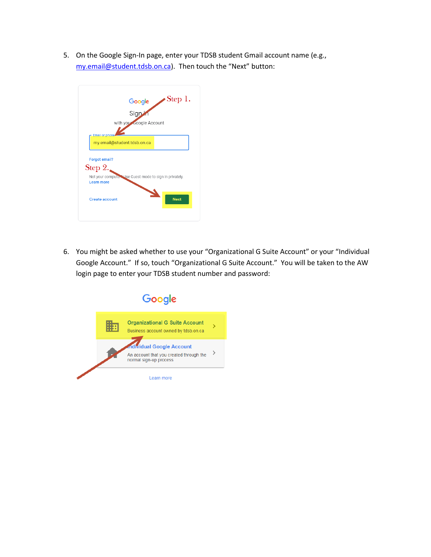5. On the Google Sign-In page, enter your TDSB student Gmail account name (e.g., [my.email@student.tdsb.on.ca](mailto:my.email@student.tdsb.on.ca)). Then touch the "Next" button:



6. You might be asked whether to use your "Organizational G Suite Account" or your "Individual Google Account." If so, touch "Organizational G Suite Account." You will be taken to the AW login page to enter your TDSB student number and password: